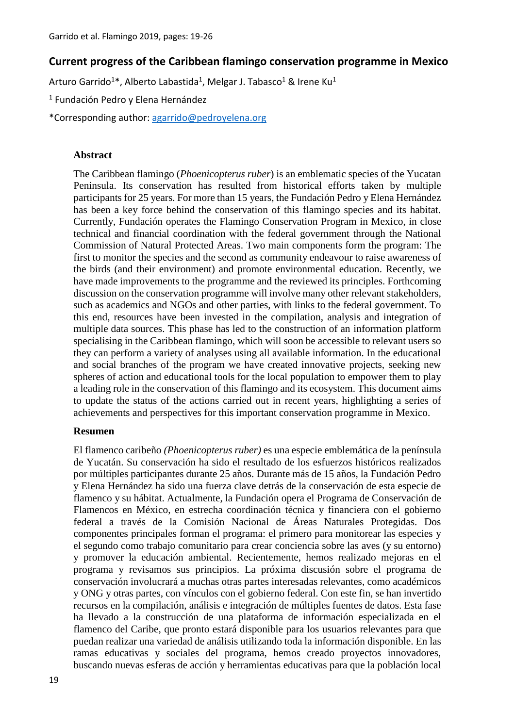### **Current progress of the Caribbean flamingo conservation programme in Mexico**

Arturo Garrido<sup>1\*</sup>, Alberto Labastida<sup>1</sup>, Melgar J. Tabasco<sup>1</sup> & Irene Ku<sup>1</sup>

<sup>1</sup> Fundación Pedro y Elena Hernández

\*Corresponding author: [agarrido@pedroyelena.org](mailto:agarrido@pedroyelena.org)

### **Abstract**

The Caribbean flamingo (*Phoenicopterus ruber*) is an emblematic species of the Yucatan Peninsula. Its conservation has resulted from historical efforts taken by multiple participants for 25 years. For more than 15 years, the Fundación Pedro y Elena Hernández has been a key force behind the conservation of this flamingo species and its habitat. Currently, Fundación operates the Flamingo Conservation Program in Mexico, in close technical and financial coordination with the federal government through the National Commission of Natural Protected Areas. Two main components form the program: The first to monitor the species and the second as community endeavour to raise awareness of the birds (and their environment) and promote environmental education. Recently, we have made improvements to the programme and the reviewed its principles. Forthcoming discussion on the conservation programme will involve many other relevant stakeholders, such as academics and NGOs and other parties, with links to the federal government. To this end, resources have been invested in the compilation, analysis and integration of multiple data sources. This phase has led to the construction of an information platform specialising in the Caribbean flamingo, which will soon be accessible to relevant users so they can perform a variety of analyses using all available information. In the educational and social branches of the program we have created innovative projects, seeking new spheres of action and educational tools for the local population to empower them to play a leading role in the conservation of this flamingo and its ecosystem. This document aims to update the status of the actions carried out in recent years, highlighting a series of achievements and perspectives for this important conservation programme in Mexico.

### **Resumen**

El flamenco caribeño *(Phoenicopterus ruber)* es una especie emblemática de la península de Yucatán. Su conservación ha sido el resultado de los esfuerzos históricos realizados por múltiples participantes durante 25 años. Durante más de 15 años, la Fundación Pedro y Elena Hernández ha sido una fuerza clave detrás de la conservación de esta especie de flamenco y su hábitat. Actualmente, la Fundación opera el Programa de Conservación de Flamencos en México, en estrecha coordinación técnica y financiera con el gobierno federal a través de la Comisión Nacional de Áreas Naturales Protegidas. Dos componentes principales forman el programa: el primero para monitorear las especies y el segundo como trabajo comunitario para crear conciencia sobre las aves (y su entorno) y promover la educación ambiental. Recientemente, hemos realizado mejoras en el programa y revisamos sus principios. La próxima discusión sobre el programa de conservación involucrará a muchas otras partes interesadas relevantes, como académicos y ONG y otras partes, con vínculos con el gobierno federal. Con este fin, se han invertido recursos en la compilación, análisis e integración de múltiples fuentes de datos. Esta fase ha llevado a la construcción de una plataforma de información especializada en el flamenco del Caribe, que pronto estará disponible para los usuarios relevantes para que puedan realizar una variedad de análisis utilizando toda la información disponible. En las ramas educativas y sociales del programa, hemos creado proyectos innovadores, buscando nuevas esferas de acción y herramientas educativas para que la población local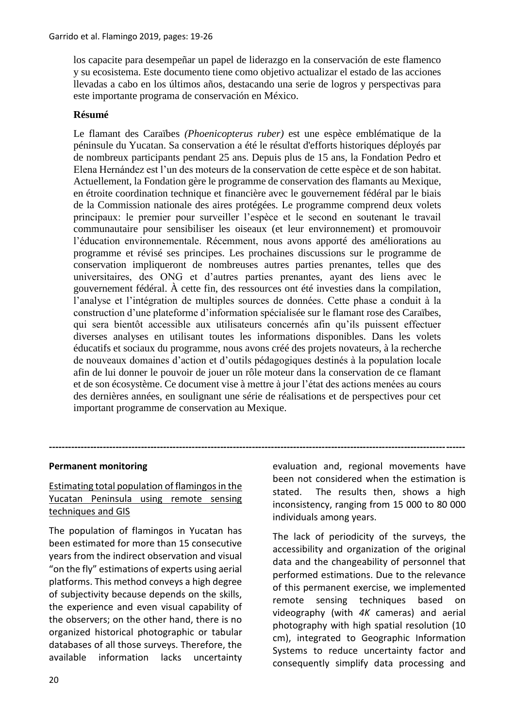los capacite para desempeñar un papel de liderazgo en la conservación de este flamenco y su ecosistema. Este documento tiene como objetivo actualizar el estado de las acciones llevadas a cabo en los últimos años, destacando una serie de logros y perspectivas para este importante programa de conservación en México.

## **Résumé**

Le flamant des Caraïbes *(Phoenicopterus ruber)* est une espèce emblématique de la péninsule du Yucatan. Sa conservation a été le résultat d'efforts historiques déployés par de nombreux participants pendant 25 ans. Depuis plus de 15 ans, la Fondation Pedro et Elena Hernández est l'un des moteurs de la conservation de cette espèce et de son habitat. Actuellement, la Fondation gère le programme de conservation des flamants au Mexique, en étroite coordination technique et financière avec le gouvernement fédéral par le biais de la Commission nationale des aires protégées. Le programme comprend deux volets principaux: le premier pour surveiller l'espèce et le second en soutenant le travail communautaire pour sensibiliser les oiseaux (et leur environnement) et promouvoir l'éducation environnementale. Récemment, nous avons apporté des améliorations au programme et révisé ses principes. Les prochaines discussions sur le programme de conservation impliqueront de nombreuses autres parties prenantes, telles que des universitaires, des ONG et d'autres parties prenantes, ayant des liens avec le gouvernement fédéral. À cette fin, des ressources ont été investies dans la compilation, l'analyse et l'intégration de multiples sources de données. Cette phase a conduit à la construction d'une plateforme d'information spécialisée sur le flamant rose des Caraïbes, qui sera bientôt accessible aux utilisateurs concernés afin qu'ils puissent effectuer diverses analyses en utilisant toutes les informations disponibles. Dans les volets éducatifs et sociaux du programme, nous avons créé des projets novateurs, à la recherche de nouveaux domaines d'action et d'outils pédagogiques destinés à la population locale afin de lui donner le pouvoir de jouer un rôle moteur dans la conservation de ce flamant et de son écosystème. Ce document vise à mettre à jour l'état des actions menées au cours des dernières années, en soulignant une série de réalisations et de perspectives pour cet important programme de conservation au Mexique.

**-----------------------------------------------------------------------------------------------------------------------------------**

## **Permanent monitoring**

# Estimating total population of flamingos in the Yucatan Peninsula using remote sensing techniques and GIS

The population of flamingos in Yucatan has been estimated for more than 15 consecutive years from the indirect observation and visual "on the fly" estimations of experts using aerial platforms. This method conveys a high degree of subjectivity because depends on the skills, the experience and even visual capability of the observers; on the other hand, there is no organized historical photographic or tabular databases of all those surveys. Therefore, the available information lacks uncertainty evaluation and, regional movements have been not considered when the estimation is stated. The results then, shows a high inconsistency, ranging from 15 000 to 80 000 individuals among years.

The lack of periodicity of the surveys, the accessibility and organization of the original data and the changeability of personnel that performed estimations. Due to the relevance of this permanent exercise, we implemented remote sensing techniques based on videography (with *4K* cameras) and aerial photography with high spatial resolution (10 cm), integrated to Geographic Information Systems to reduce uncertainty factor and consequently simplify data processing and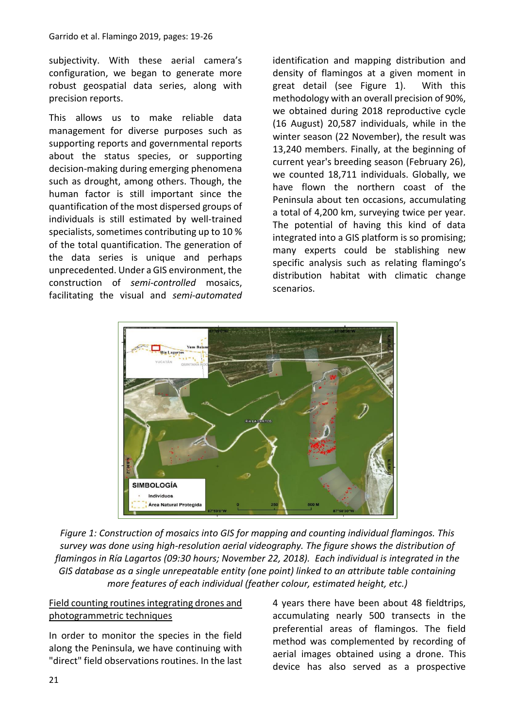subjectivity. With these aerial camera's configuration, we began to generate more robust geospatial data series, along with precision reports.

This allows us to make reliable data management for diverse purposes such as supporting reports and governmental reports about the status species, or supporting decision-making during emerging phenomena such as drought, among others. Though, the human factor is still important since the quantification of the most dispersed groups of individuals is still estimated by well-trained specialists, sometimes contributing up to 10 % of the total quantification. The generation of the data series is unique and perhaps unprecedented. Under a GIS environment, the construction of *semi-controlled* mosaics, facilitating the visual and *semi-automated* identification and mapping distribution and density of flamingos at a given moment in great detail (see Figure 1). With this methodology with an overall precision of 90%, we obtained during 2018 reproductive cycle (16 August) 20,587 individuals, while in the winter season (22 November), the result was 13,240 members. Finally, at the beginning of current year's breeding season (February 26), we counted 18,711 individuals. Globally, we have flown the northern coast of the Peninsula about ten occasions, accumulating a total of 4,200 km, surveying twice per year. The potential of having this kind of data integrated into a GIS platform is so promising; many experts could be stablishing new specific analysis such as relating flamingo's distribution habitat with climatic change scenarios.



*Figure 1: Construction of mosaics into GIS for mapping and counting individual flamingos. This survey was done using high-resolution aerial videography. The figure shows the distribution of flamingos in Ría Lagartos (09:30 hours; November 22, 2018). Each individual is integrated in the GIS database as a single unrepeatable entity (one point) linked to an attribute table containing more features of each individual (feather colour, estimated height, etc.)*

# Field counting routines integrating drones and photogrammetric techniques

In order to monitor the species in the field along the Peninsula, we have continuing with "direct" field observations routines. In the last 4 years there have been about 48 fieldtrips, accumulating nearly 500 transects in the preferential areas of flamingos. The field method was complemented by recording of aerial images obtained using a drone. This device has also served as a prospective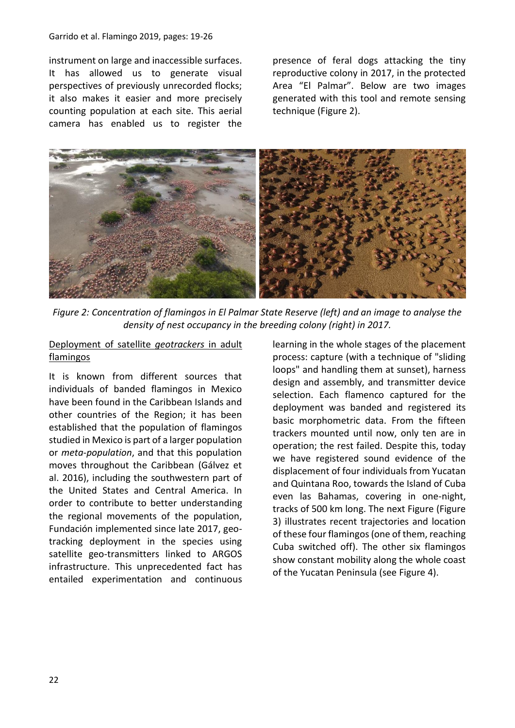#### Garrido et al. Flamingo 2019, pages: 19-26

instrument on large and inaccessible surfaces. It has allowed us to generate visual perspectives of previously unrecorded flocks; it also makes it easier and more precisely counting population at each site. This aerial camera has enabled us to register the

presence of feral dogs attacking the tiny reproductive colony in 2017, in the protected Area "El Palmar". Below are two images generated with this tool and remote sensing technique (Figure 2).



*Figure 2: Concentration of flamingos in El Palmar State Reserve (left) and an image to analyse the density of nest occupancy in the breeding colony (right) in 2017.*

# Deployment of satellite *geotrackers* in adult flamingos

It is known from different sources that individuals of banded flamingos in Mexico have been found in the Caribbean Islands and other countries of the Region; it has been established that the population of flamingos studied in Mexico is part of a larger population or *meta-population*, and that this population moves throughout the Caribbean (Gálvez et al. 2016), including the southwestern part of the United States and Central America. In order to contribute to better understanding the regional movements of the population, Fundación implemented since late 2017, geotracking deployment in the species using satellite geo-transmitters linked to ARGOS infrastructure. This unprecedented fact has entailed experimentation and continuous

learning in the whole stages of the placement process: capture (with a technique of "sliding loops" and handling them at sunset), harness design and assembly, and transmitter device selection. Each flamenco captured for the deployment was banded and registered its basic morphometric data. From the fifteen trackers mounted until now, only ten are in operation; the rest failed. Despite this, today we have registered sound evidence of the displacement of four individuals from Yucatan and Quintana Roo, towards the Island of Cuba even las Bahamas, covering in one-night, tracks of 500 km long. The next Figure (Figure 3) illustrates recent trajectories and location of these four flamingos (one of them, reaching Cuba switched off). The other six flamingos show constant mobility along the whole coast of the Yucatan Peninsula (see Figure 4).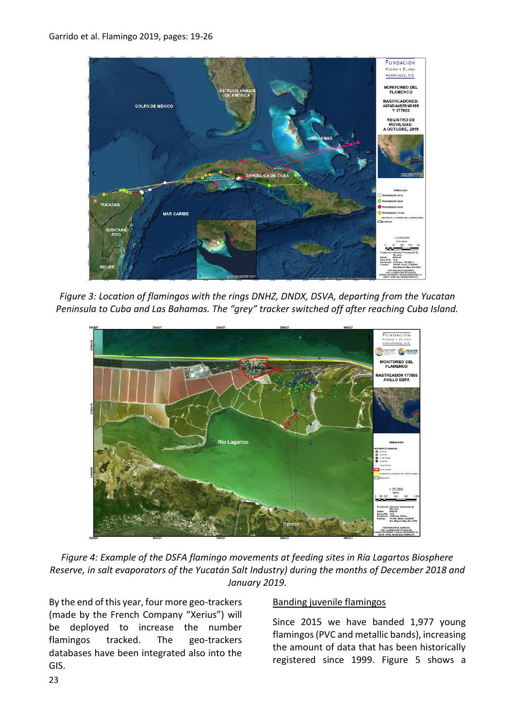

*Figure 3: Location of flamingos with the rings DNHZ, DNDX, DSVA, departing from the Yucatan Peninsula to Cuba and Las Bahamas. The "grey" tracker switched off after reaching Cuba Island.*



*Figure 4: Example of the DSFA flamingo movements at feeding sites in Ría Lagartos Biosphere Reserve, in salt evaporators of the Yucatán Salt Industry) during the months of December 2018 and January 2019.*

By the end of this year, four more geo-trackers (made by the French Company "Xerius") will be deployed to increase the number flamingos tracked. The geo-trackers databases have been integrated also into the GIS.

## Banding juvenile flamingos

Since 2015 we have banded 1,977 young flamingos (PVC and metallic bands), increasing the amount of data that has been historically registered since 1999. Figure 5 shows a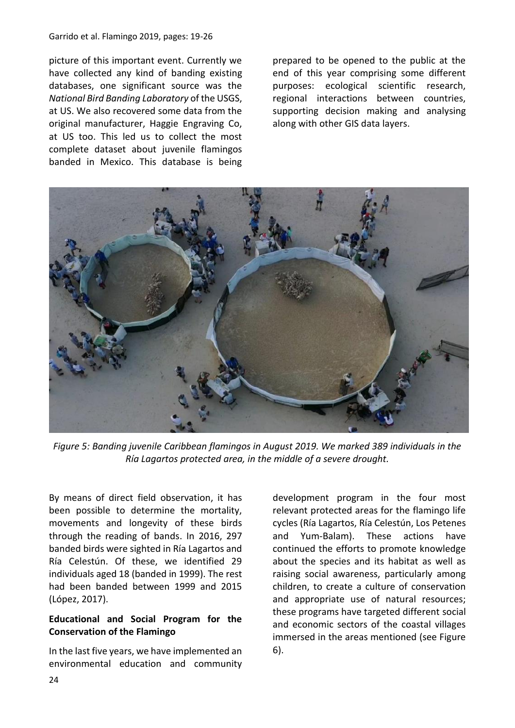picture of this important event. Currently we have collected any kind of banding existing databases, one significant source was the *National Bird Banding Laboratory* of the USGS, at US. We also recovered some data from the original manufacturer, Haggie Engraving Co, at US too. This led us to collect the most complete dataset about juvenile flamingos banded in Mexico. This database is being prepared to be opened to the public at the end of this year comprising some different purposes: ecological scientific research, regional interactions between countries, supporting decision making and analysing along with other GIS data layers.



*Figure 5: Banding juvenile Caribbean flamingos in August 2019. We marked 389 individuals in the Ría Lagartos protected area, in the middle of a severe drought.*

By means of direct field observation, it has been possible to determine the mortality, movements and longevity of these birds through the reading of bands. In 2016, 297 banded birds were sighted in Ría Lagartos and Ría Celestún. Of these, we identified 29 individuals aged 18 (banded in 1999). The rest had been banded between 1999 and 2015 (López, 2017).

# **Educational and Social Program for the Conservation of the Flamingo**

In the last five years, we have implemented an environmental education and community development program in the four most relevant protected areas for the flamingo life cycles (Ría Lagartos, Ría Celestún, Los Petenes and Yum-Balam). These actions have continued the efforts to promote knowledge about the species and its habitat as well as raising social awareness, particularly among children, to create a culture of conservation and appropriate use of natural resources; these programs have targeted different social and economic sectors of the coastal villages immersed in the areas mentioned (see Figure 6).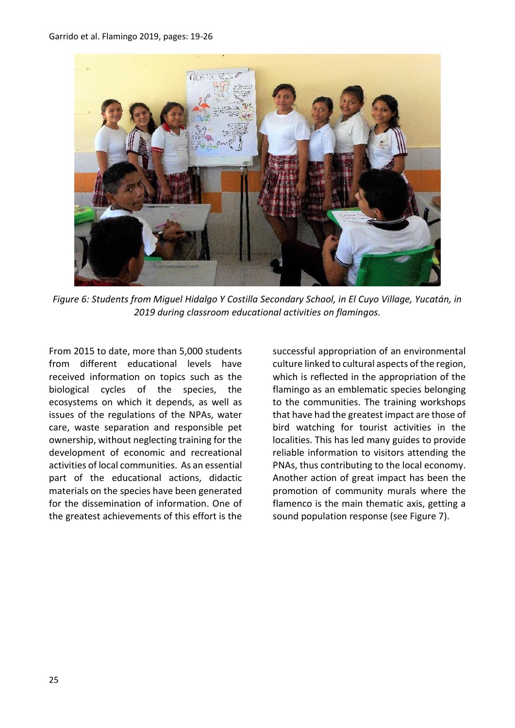

*Figure 6: Students from Miguel Hidalgo Y Costilla Secondary School, in El Cuyo Village, Yucatán, in 2019 during classroom educational activities on flamingos.*

From 2015 to date, more than 5,000 students from different educational levels have received information on topics such as the biological cycles of the species, the ecosystems on which it depends, as well as issues of the regulations of the NPAs, water care, waste separation and responsible pet ownership, without neglecting training for the development of economic and recreational activities of local communities. As an essential part of the educational actions, didactic materials on the species have been generated for the dissemination of information. One of the greatest achievements of this effort is the

successful appropriation of an environmental culture linked to cultural aspects of the region, which is reflected in the appropriation of the flamingo as an emblematic species belonging to the communities. The training workshops that have had the greatest impact are those of bird watching for tourist activities in the localities. This has led many guides to provide reliable information to visitors attending the PNAs, thus contributing to the local economy. Another action of great impact has been the promotion of community murals where the flamenco is the main thematic axis, getting a sound population response (see Figure 7).